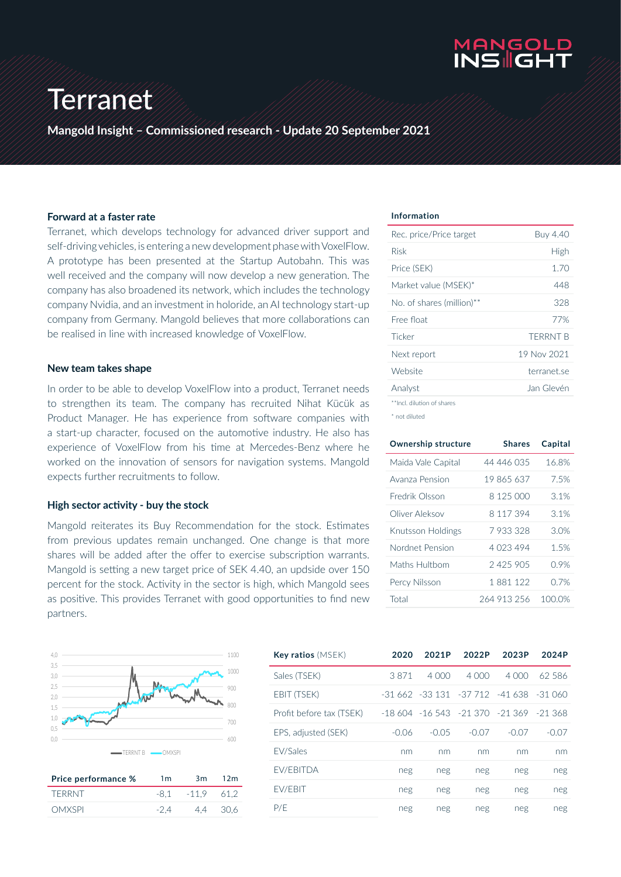

## Terranet

**Mangold Insight – Commissioned research - Update 20 September 2021**

#### **Forward at a faster rate**

Terranet, which develops technology for advanced driver support and self-driving vehicles, is entering a new development phase with VoxelFlow. A prototype has been presented at the Startup Autobahn. This was well received and the company will now develop a new generation. The company has also broadened its network, which includes the technology company Nvidia, and an investment in holoride, an AI technology start-up company from Germany. Mangold believes that more collaborations can be realised in line with increased knowledge of VoxelFlow.

#### **New team takes shape**

In order to be able to develop VoxelFlow into a product, Terranet needs to strengthen its team. The company has recruited Nihat Kücük as Product Manager. He has experience from software companies with a start-up character, focused on the automotive industry. He also has experience of VoxelFlow from his time at Mercedes-Benz where he worked on the innovation of sensors for navigation systems. Mangold expects further recruitments to follow.

#### **High sector activity - buy the stock**

Mangold reiterates its Buy Recommendation for the stock. Estimates from previous updates remain unchanged. One change is that more shares will be added after the offer to exercise subscription warrants. Mangold is setting a new target price of SEK 4.40, an updside over 150 percent for the stock. Activity in the sector is high, which Mangold sees as positive. This provides Terranet with good opportunities to find new partners.



| Price performance % | 1 <sub>m</sub> | 3m            | 12m   |
|---------------------|----------------|---------------|-------|
| TERRNT              |                | $-8.1 - 11.9$ | -61.2 |
| <b>OMXSPI</b>       | $-2.4$         | 4.4           | 30.6  |

#### **Information**

| Rec. price/Price target    | Buy 4.40        |
|----------------------------|-----------------|
| Risk                       | High            |
| Price (SEK)                | 1.70            |
| Market value (MSEK)*       | 448             |
| No. of shares (million)**  | 328             |
| Free float                 | 77%             |
| Ticker                     | <b>TFRRNT B</b> |
| Next report                | 19 Nov 2021     |
| Website                    | terranet se     |
| Analyst                    | Jan Glevén      |
| **Incl. dilution of shares |                 |

\* not diluted

| <b>Ownership structure</b> | <b>Shares</b> | Capital |
|----------------------------|---------------|---------|
| Maida Vale Capital         | 44 446 035    | 16.8%   |
| Avanza Pension             | 19 865 637    | 7.5%    |
| Fredrik Olsson             | 8 125 000     | 3.1%    |
| Oliver Aleksov             | 8 117 394     | 3.1%    |
| Knutsson Holdings          | 7933328       | 3.0%    |
| Nordnet Pension            | 4 023 494     | 1.5%    |
| Maths Hultbom              | 2425905       | 0.9%    |
| Percy Nilsson              | 1 881 122     | O 7%    |
| Total                      | 264 913 256   | 100.0%  |

| <b>Key ratios</b> (MSEK) | 2020    | 2021P   | 2022P                                    | 2023P   | 2024P   |
|--------------------------|---------|---------|------------------------------------------|---------|---------|
| Sales (TSEK)             | 3871    | 4.000   | 4.000                                    | 4.000   | 62.586  |
| EBIT (TSEK)              |         |         | -31 662 -33 131 -37 712 -41 638 -31 060  |         |         |
| Profit before tax (TSEK) |         |         | $-18604 - 16543 - 21370 - 21369 - 21368$ |         |         |
| EPS, adjusted (SEK)      | $-0.06$ | $-0.05$ | $-0.07$                                  | $-0.07$ | $-0.07$ |
| <b>FV/Sales</b>          | nm      | nm      | nm                                       | nm      | nm      |
| <b>FV/FBITDA</b>         | neg     | neg     | neg                                      | neg     | neg     |
| <b>FV/FBIT</b>           | neg     | neg     | neg                                      | neg     | neg     |
| P/F                      | neg     | neg     | neg                                      | neg     | neg     |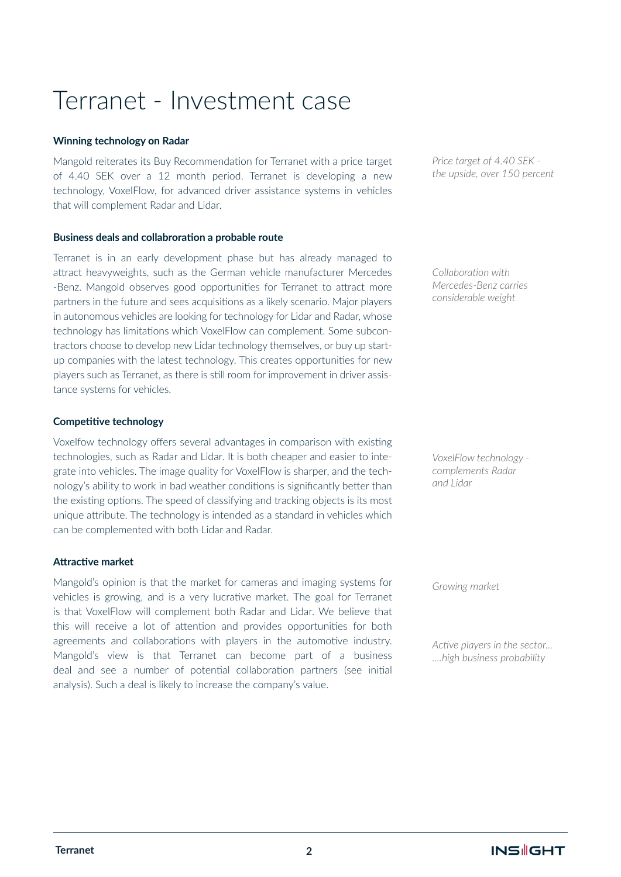### Terranet - Investment case

#### **Winning technology on Radar**

Mangold reiterates its Buy Recommendation for Terranet with a price target of 4.40 SEK over a 12 month period. Terranet is developing a new technology, VoxelFlow, for advanced driver assistance systems in vehicles that will complement Radar and Lidar.

#### **Business deals and collabroration a probable route**

Terranet is in an early development phase but has already managed to attract heavyweights, such as the German vehicle manufacturer Mercedes -Benz. Mangold observes good opportunities for Terranet to attract more partners in the future and sees acquisitions as a likely scenario. Major players in autonomous vehicles are looking for technology for Lidar and Radar, whose technology has limitations which VoxelFlow can complement. Some subcontractors choose to develop new Lidar technology themselves, or buy up startup companies with the latest technology. This creates opportunities for new players such as Terranet, as there is still room for improvement in driver assistance systems for vehicles.

#### **Competitive technology**

Voxelfow technology offers several advantages in comparison with existing technologies, such as Radar and Lidar. It is both cheaper and easier to integrate into vehicles. The image quality for VoxelFlow is sharper, and the technology's ability to work in bad weather conditions is significantly better than the existing options. The speed of classifying and tracking objects is its most unique attribute. The technology is intended as a standard in vehicles which can be complemented with both Lidar and Radar.

#### **Attractive market**

Mangold's opinion is that the market for cameras and imaging systems for vehicles is growing, and is a very lucrative market. The goal for Terranet is that VoxelFlow will complement both Radar and Lidar. We believe that this will receive a lot of attention and provides opportunities for both agreements and collaborations with players in the automotive industry. Mangold's view is that Terranet can become part of a business deal and see a number of potential collaboration partners (see initial analysis). Such a deal is likely to increase the company's value.

*Price target of 4.40 SEK the upside, over 150 percent*

*Collaboration with Mercedes-Benz carries considerable weight*

*VoxelFlow technology complements Radar and Lidar* 

*Growing market*

*Active players in the sector... ....high business probability*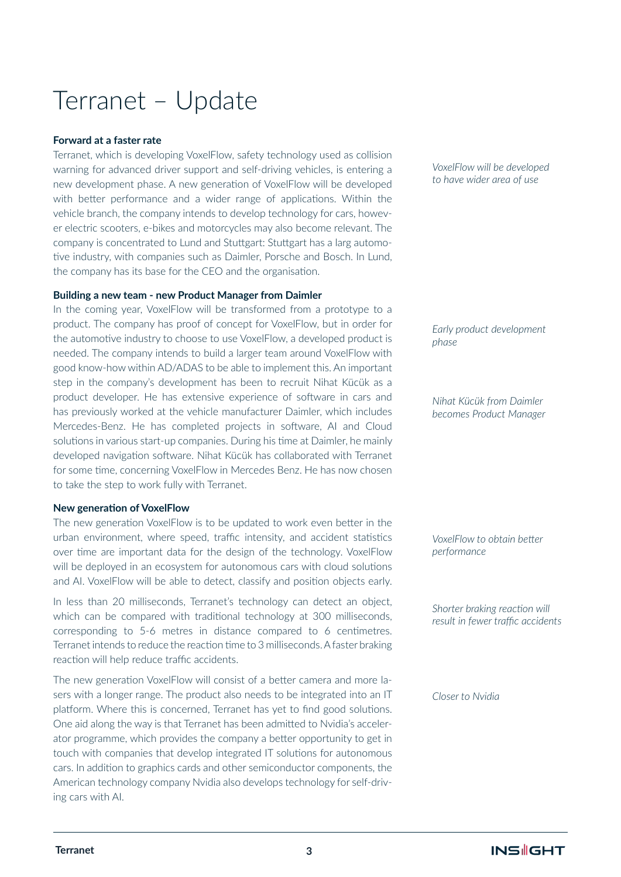### Terranet – Update

#### **Forward at a faster rate**

Terranet, which is developing VoxelFlow, safety technology used as collision warning for advanced driver support and self-driving vehicles, is entering a new development phase. A new generation of VoxelFlow will be developed with better performance and a wider range of applications. Within the vehicle branch, the company intends to develop technology for cars, however electric scooters, e-bikes and motorcycles may also become relevant. The company is concentrated to Lund and Stuttgart: Stuttgart has a larg automotive industry, with companies such as Daimler, Porsche and Bosch. In Lund, the company has its base for the CEO and the organisation.

#### **Building a new team - new Product Manager from Daimler**

In the coming year, VoxelFlow will be transformed from a prototype to a product. The company has proof of concept for VoxelFlow, but in order for the automotive industry to choose to use VoxelFlow, a developed product is needed. The company intends to build a larger team around VoxelFlow with good know-how within AD/ADAS to be able to implement this. An important step in the company's development has been to recruit Nihat Kücük as a product developer. He has extensive experience of software in cars and has previously worked at the vehicle manufacturer Daimler, which includes Mercedes-Benz. He has completed projects in software, AI and Cloud solutions in various start-up companies. During his time at Daimler, he mainly developed navigation software. Nihat Kücük has collaborated with Terranet for some time, concerning VoxelFlow in Mercedes Benz. He has now chosen to take the step to work fully with Terranet.

#### **New generation of VoxelFlow**

The new generation VoxelFlow is to be updated to work even better in the urban environment, where speed, traffic intensity, and accident statistics over time are important data for the design of the technology. VoxelFlow will be deployed in an ecosystem for autonomous cars with cloud solutions and AI. VoxelFlow will be able to detect, classify and position objects early.

In less than 20 milliseconds, Terranet's technology can detect an object, which can be compared with traditional technology at 300 milliseconds, corresponding to 5-6 metres in distance compared to 6 centimetres. Terranet intends to reduce the reaction time to 3 milliseconds. A faster braking reaction will help reduce traffic accidents.

The new generation VoxelFlow will consist of a better camera and more lasers with a longer range. The product also needs to be integrated into an IT platform. Where this is concerned, Terranet has yet to find good solutions. One aid along the way is that Terranet has been admitted to Nvidia's accelerator programme, which provides the company a better opportunity to get in touch with companies that develop integrated IT solutions for autonomous cars. In addition to graphics cards and other semiconductor components, the American technology company Nvidia also develops technology for self-driving cars with AI.

*VoxelFlow will be developed to have wider area of use*

*Early product development phase* 

*Nihat Kücük from Daimler becomes Product Manager*

*VoxelFlow to obtain better performance*

*Shorter braking reaction will result in fewer traffic accidents* 

*Closer to Nvidia*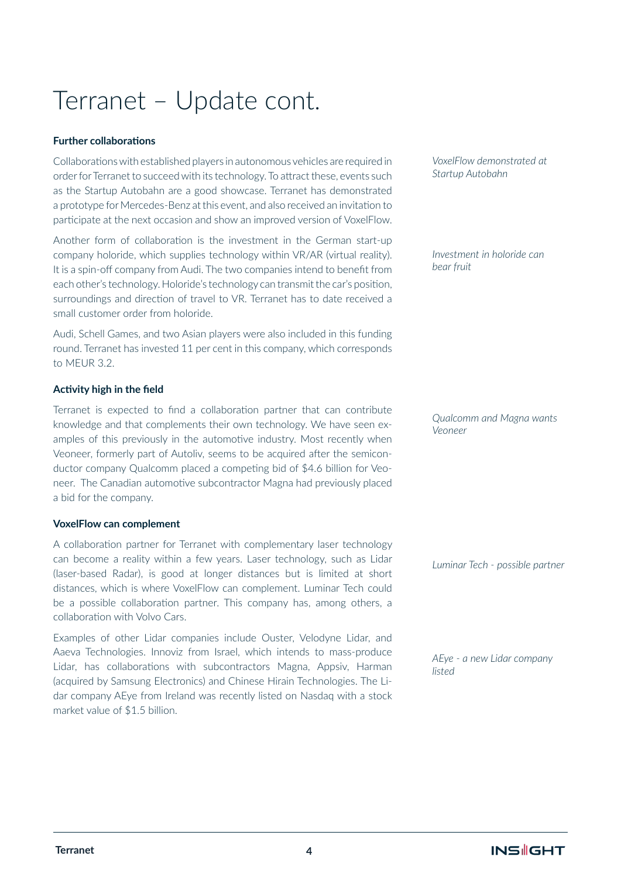## Terranet – Update cont.

### **Further collaborations**

Collaborations with established players in autonomous vehicles are required in order for Terranet to succeed with its technology. To attract these, events such as the Startup Autobahn are a good showcase. Terranet has demonstrated a prototype for Mercedes-Benz at this event, and also received an invitation to participate at the next occasion and show an improved version of VoxelFlow.

Another form of collaboration is the investment in the German start-up company holoride, which supplies technology within VR/AR (virtual reality). It is a spin-off company from Audi. The two companies intend to benefit from each other's technology. Holoride's technology can transmit the car's position, surroundings and direction of travel to VR. Terranet has to date received a small customer order from holoride.

Audi, Schell Games, and two Asian players were also included in this funding round. Terranet has invested 11 per cent in this company, which corresponds to MEUR 3.2.

### **Activity high in the field**

Terranet is expected to find a collaboration partner that can contribute knowledge and that complements their own technology. We have seen examples of this previously in the automotive industry. Most recently when Veoneer, formerly part of Autoliv, seems to be acquired after the semiconductor company Qualcomm placed a competing bid of \$4.6 billion for Veoneer. The Canadian automotive subcontractor Magna had previously placed a bid for the company.

#### **VoxelFlow can complement**

A collaboration partner for Terranet with complementary laser technology can become a reality within a few years. Laser technology, such as Lidar (laser-based Radar), is good at longer distances but is limited at short distances, which is where VoxelFlow can complement. Luminar Tech could be a possible collaboration partner. This company has, among others, a collaboration with Volvo Cars.

Examples of other Lidar companies include Ouster, Velodyne Lidar, and Aaeva Technologies. Innoviz from Israel, which intends to mass-produce Lidar, has collaborations with subcontractors Magna, Appsiv, Harman (acquired by Samsung Electronics) and Chinese Hirain Technologies. The Lidar company AEye from Ireland was recently listed on Nasdaq with a stock market value of \$1.5 billion.

*VoxelFlow demonstrated at Startup Autobahn*

*Investment in holoride can bear fruit*

*Qualcomm and Magna wants Veoneer*

*Luminar Tech - possible partner*

*AEye - a new Lidar company listed*

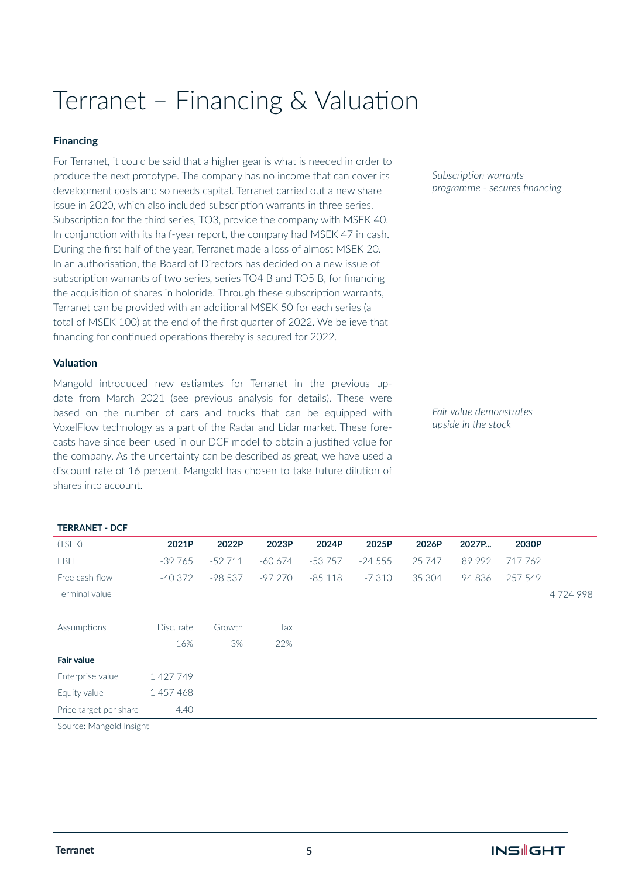### Terranet – Financing & Valuation

### **Financing**

For Terranet, it could be said that a higher gear is what is needed in order to produce the next prototype. The company has no income that can cover its development costs and so needs capital. Terranet carried out a new share issue in 2020, which also included subscription warrants in three series. Subscription for the third series, TO3, provide the company with MSEK 40. In conjunction with its half-year report, the company had MSEK 47 in cash. During the first half of the year, Terranet made a loss of almost MSEK 20. In an authorisation, the Board of Directors has decided on a new issue of subscription warrants of two series, series TO4 B and TO5 B, for financing the acquisition of shares in holoride. Through these subscription warrants, Terranet can be provided with an additional MSEK 50 for each series (a total of MSEK 100) at the end of the first quarter of 2022. We believe that financing for continued operations thereby is secured for 2022.

#### **Valuation**

**TERRANET - DCF** 

Mangold introduced new estiamtes for Terranet in the previous update from March 2021 (see previous analysis for details). These were based on the number of cars and trucks that can be equipped with VoxelFlow technology as a part of the Radar and Lidar market. These forecasts have since been used in our DCF model to obtain a justified value for the company. As the uncertainty can be described as great, we have used a discount rate of 16 percent. Mangold has chosen to take future dilution of shares into account.

*Subscription warrants programme - secures financing* 

*Fair value demonstrates upside in the stock*

| (TSEK)                 | 2021P      | 2022P    | 2023P    | 2024P    | 2025P    | 2026P  | 2027P  | 2030P   |         |
|------------------------|------------|----------|----------|----------|----------|--------|--------|---------|---------|
| <b>EBIT</b>            | $-39765$   | $-52711$ | $-60674$ | $-53757$ | $-24555$ | 25 747 | 89 992 | 717 762 |         |
| Free cash flow         | $-40372$   | $-98537$ | $-97270$ | $-85118$ | $-7310$  | 35 304 | 94 836 | 257 549 |         |
| Terminal value         |            |          |          |          |          |        |        |         | 4724998 |
| Assumptions            | Disc. rate | Growth   | Tax      |          |          |        |        |         |         |
|                        | 16%        | 3%       | 22%      |          |          |        |        |         |         |
| <b>Fair value</b>      |            |          |          |          |          |        |        |         |         |
| Enterprise value       | 1427749    |          |          |          |          |        |        |         |         |
| Equity value           | 1457468    |          |          |          |          |        |        |         |         |
| Price target per share | 4.40       |          |          |          |          |        |        |         |         |
|                        |            |          |          |          |          |        |        |         |         |

Source: Mangold Insight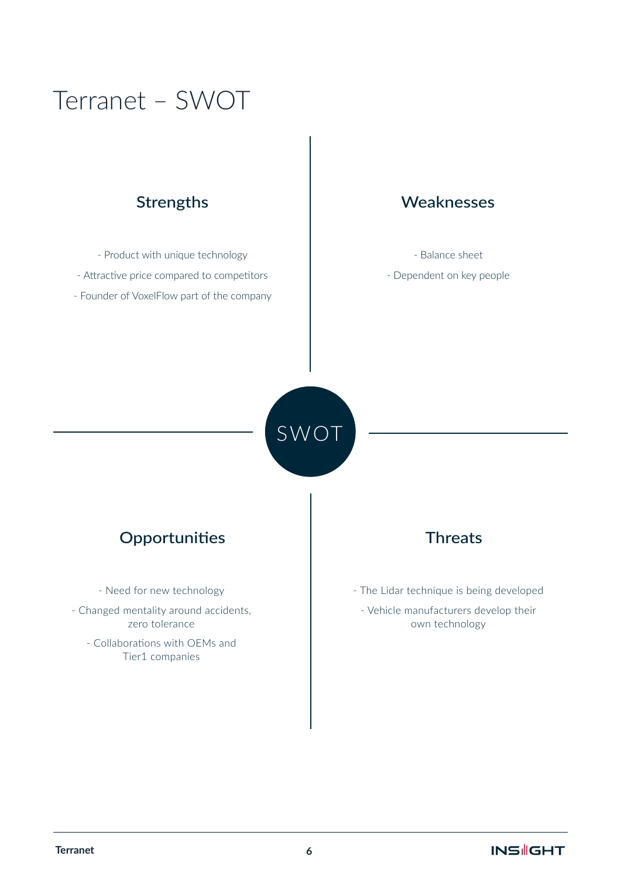### Terranet – SWOT

- Product with unique technology - Attractive price compared to competitors - Founder of VoxelFlow part of the company

#### **Strengths Strengths** Weaknesses

- Balance sheet
- Dependent on key people

SWOT

### **Möjligheter Hot** Opportunities Threats

- Need for new technology
- Changed mentality around accidents, zero tolerance
	- Collaborations with OEMs and Tier1 companies

- The Lidar technique is being developed
	- Vehicle manufacturers develop their own technology

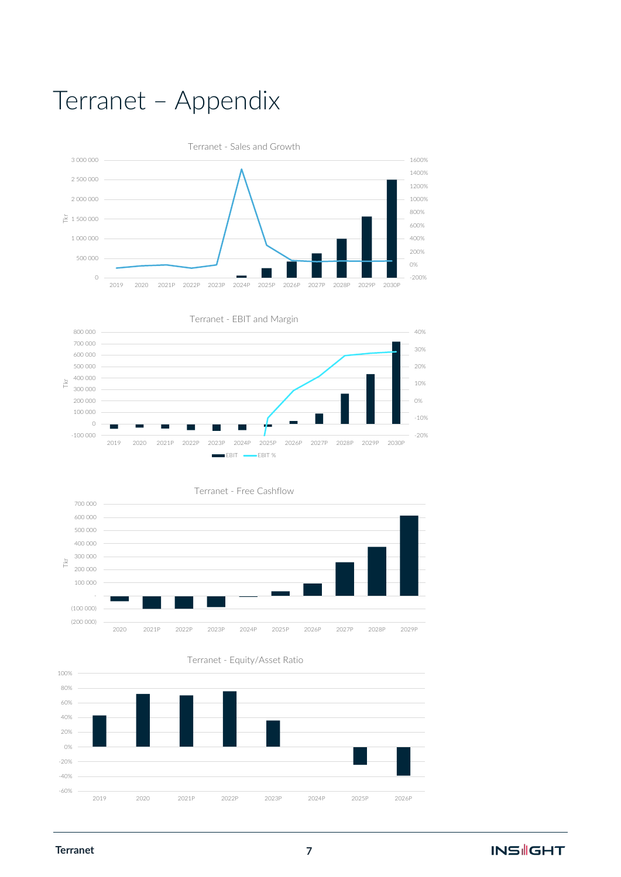# Terranet – Appendix











**Terranet**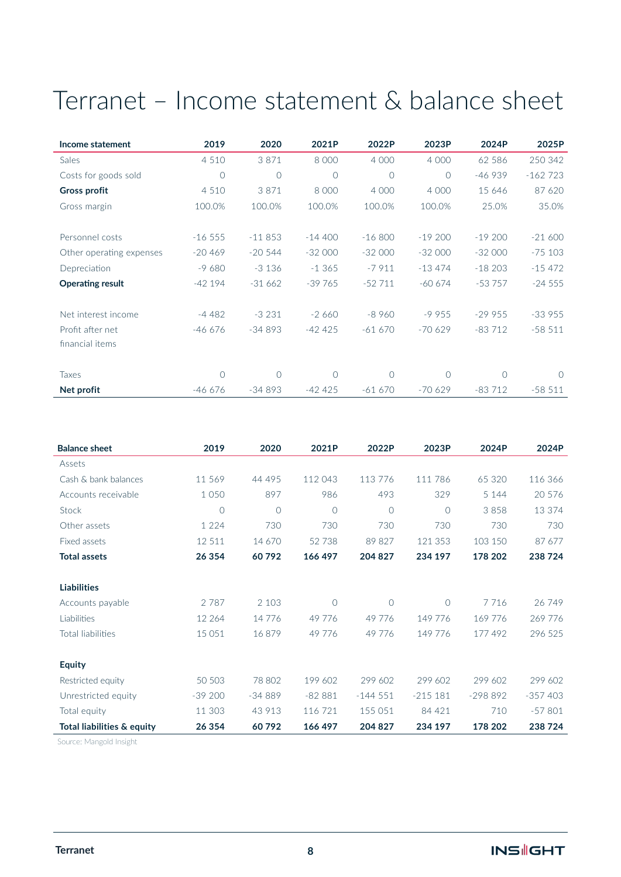## Terranet – Income statement & balance sheet

| Income statement         | 2019     | 2020     | 2021P    | 2022P     | 2023P    | 2024P    | 2025P     |
|--------------------------|----------|----------|----------|-----------|----------|----------|-----------|
| Sales                    | 4 5 1 0  | 3871     | 8 0 0 0  | 4 0 0 0   | 4 0 0 0  | 62 586   | 250 342   |
| Costs for goods sold     | $\circ$  | $\circ$  | $\Omega$ | $\bigcap$ | $\Omega$ | $-46939$ | $-162723$ |
| <b>Gross profit</b>      | 4 5 1 0  | 3871     | 8 0 0 0  | 4 0 0 0   | 4 0 0 0  | 15 646   | 87 620    |
| Gross margin             | 100.0%   | 100.0%   | 100.0%   | 100.0%    | 100.0%   | 25.0%    | 35.0%     |
| Personnel costs          | $-16555$ | $-11853$ | $-14400$ | $-16800$  | $-19200$ | $-19200$ | $-21600$  |
| Other operating expenses | $-20469$ | $-20544$ | $-32000$ | $-32000$  | $-32000$ | $-32000$ | $-75103$  |
| Depreciation             | $-9680$  | $-3136$  | $-1.365$ | $-7911$   | $-13474$ | $-18203$ | $-15472$  |
| <b>Operating result</b>  | $-42194$ | $-31662$ | $-39765$ | $-52711$  | $-60674$ | $-53757$ | $-24555$  |
| Net interest income      | $-4482$  | $-3231$  | $-2660$  | $-8960$   | $-9955$  | $-29955$ | $-33955$  |
| Profit after net         | $-46676$ | $-34893$ | $-42425$ | $-61670$  | $-70629$ | $-83712$ | $-58511$  |
| financial items          |          |          |          |           |          |          |           |
|                          |          |          |          |           |          |          |           |
| <b>Taxes</b>             | $\circ$  | $\circ$  | 0        | $\Omega$  | 0        | $\Omega$ | $\Omega$  |
| Net profit               | $-46676$ | $-34893$ | $-42425$ | $-61670$  | $-70629$ | $-83712$ | $-58511$  |

| <b>Balance sheet</b>       | 2019     | 2020     | 2021P    | 2022P          | 2023P      | 2024P     | 2024P     |
|----------------------------|----------|----------|----------|----------------|------------|-----------|-----------|
| Assets                     |          |          |          |                |            |           |           |
| Cash & bank balances       | 11 569   | 44 495   | 112 043  | 113776         | 111 786    | 65 320    | 116 366   |
| Accounts receivable        | 1 0 5 0  | 897      | 986      | 493            | 329        | 5 1 4 4   | 20 576    |
| Stock                      | $\circ$  | $\Omega$ | $\Omega$ | $\overline{O}$ | $\bigcirc$ | 3858      | 13 374    |
| Other assets               | 1 2 2 4  | 730      | 730      | 730            | 730        | 730       | 730       |
| Fixed assets               | 12 511   | 14 670   | 52738    | 89 827         | 121 353    | 103 150   | 87 677    |
| <b>Total assets</b>        | 26 354   | 60792    | 166 497  | 204 827        | 234 197    | 178 202   | 238724    |
|                            |          |          |          |                |            |           |           |
| <b>Liabilities</b>         |          |          |          |                |            |           |           |
| Accounts payable           | 2787     | 2 1 0 3  | $\Omega$ | $\overline{O}$ | $\bigcirc$ | 7716      | 26749     |
| Liabilities                | 12 2 6 4 | 14776    | 49776    | 49 776         | 149 776    | 169 776   | 269 776   |
| <b>Total liabilities</b>   | 15 0 51  | 16879    | 49 7 7 6 | 49 776         | 149 776    | 177492    | 296 525   |
|                            |          |          |          |                |            |           |           |
| <b>Equity</b>              |          |          |          |                |            |           |           |
| Restricted equity          | 50 503   | 78 802   | 199 602  | 299 602        | 299 602    | 299 602   | 299 602   |
| Unrestricted equity        | $-39200$ | $-34889$ | $-82881$ | $-144.551$     | $-215181$  | $-298892$ | $-357403$ |
| Total equity               | 11 303   | 43 913   | 116 721  | 155 051        | 84 421     | 710       | $-57801$  |
| Total liabilities & equity | 26 354   | 60792    | 166 497  | 204 827        | 234 197    | 178 202   | 238724    |

Source: Mangold Insight